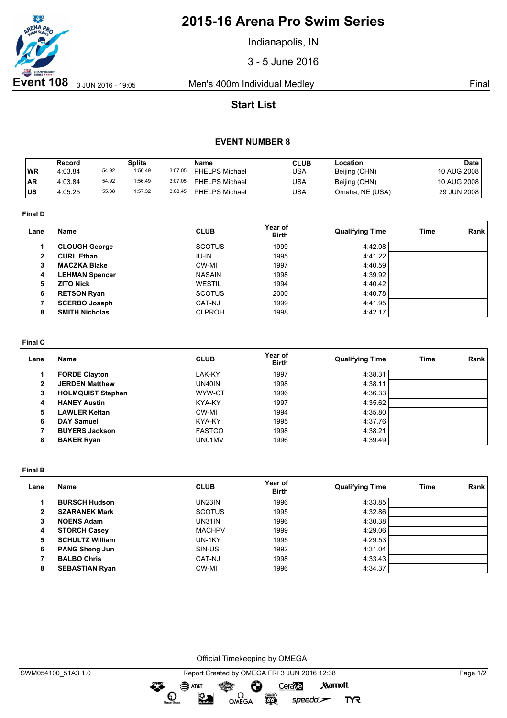

# **2015-16 Arena Pro Swim Series**

Indianapolis, IN

3 - 5 June 2016

## **Start List**

### **EVENT NUMBER 8**

|           | Record  |       | Splits  |         | Name                  | CLUB | Location        | Date          |
|-----------|---------|-------|---------|---------|-----------------------|------|-----------------|---------------|
| WR        | 4:03.84 | 54.92 | 1:56.49 | 3:07.05 | <b>PHELPS Michael</b> | USA  | Beijing (CHN)   | 10 AUG 2008   |
| <b>AR</b> | 4:03.84 | 54.92 | 1:56.49 | 3:07.05 | <b>PHELPS Michael</b> | USA  | Beijing (CHN)   | 10 AUG 2008   |
| <b>US</b> | 4:05.25 | 55.38 | 1:57.32 | 3:08.45 | PHELPS Michael        | USA  | Omaha, NE (USA) | 29 JUN 2008 I |

**Final D**

| Lane | <b>Name</b>           | <b>CLUB</b>   | Year of<br><b>Birth</b> | <b>Qualifying Time</b> | <b>Time</b> | Rank |
|------|-----------------------|---------------|-------------------------|------------------------|-------------|------|
|      | <b>CLOUGH George</b>  | <b>SCOTUS</b> | 1999                    | 4:42.08                |             |      |
| 2    | <b>CURL Ethan</b>     | IU-IN         | 1995                    | 4:41.22                |             |      |
| 3    | <b>MACZKA Blake</b>   | CW-MI         | 1997                    | 4:40.59                |             |      |
| 4    | <b>LEHMAN Spencer</b> | <b>NASAIN</b> | 1998                    | 4:39.92                |             |      |
| 5    | <b>ZITO Nick</b>      | <b>WESTIL</b> | 1994                    | 4:40.42                |             |      |
| 6    | <b>RETSON Ryan</b>    | <b>SCOTUS</b> | 2000                    | 4:40.78                |             |      |
|      | <b>SCERBO Joseph</b>  | CAT-NJ        | 1999                    | 4:41.95                |             |      |
| 8    | <b>SMITH Nicholas</b> | <b>CLPROH</b> | 1998                    | 4:42.17                |             |      |
|      |                       |               |                         |                        |             |      |

#### **Final C**

| Lane | Name                     | <b>CLUB</b>   | Year of<br><b>Birth</b> | <b>Qualifying Time</b> | <b>Time</b> | Rank |
|------|--------------------------|---------------|-------------------------|------------------------|-------------|------|
|      | <b>FORDE Clayton</b>     | LAK-KY        | 1997                    | 4:38.31                |             |      |
| 2    | <b>JERDEN Matthew</b>    | UN40IN        | 1998                    | 4:38.11                |             |      |
| 3    | <b>HOLMQUIST Stephen</b> | WYW-CT        | 1996                    | 4:36.33                |             |      |
| 4    | <b>HANEY Austin</b>      | KYA-KY        | 1997                    | 4:35.62                |             |      |
| 5    | <b>LAWLER Keltan</b>     | CW-MI         | 1994                    | 4:35.80                |             |      |
| 6    | <b>DAY Samuel</b>        | KYA-KY        | 1995                    | 4:37.76                |             |      |
|      | <b>BUYERS Jackson</b>    | <b>FASTCO</b> | 1998                    | 4:38.21                |             |      |
| 8    | <b>BAKER Ryan</b>        | UN01MV        | 1996                    | 4:39.49                |             |      |

**Final B**

| Lane | Name                   | <b>CLUB</b>   | Year of<br><b>Birth</b> | <b>Qualifying Time</b> | <b>Time</b> | Rank |
|------|------------------------|---------------|-------------------------|------------------------|-------------|------|
|      | <b>BURSCH Hudson</b>   | UN23IN        | 1996                    | 4:33.85                |             |      |
| 2    | <b>SZARANEK Mark</b>   | <b>SCOTUS</b> | 1995                    | 4:32.86                |             |      |
| 3    | <b>NOENS Adam</b>      | UN31IN        | 1996                    | 4:30.38                |             |      |
| 4    | <b>STORCH Casey</b>    | <b>MACHPV</b> | 1999                    | 4:29.06                |             |      |
| 5    | <b>SCHULTZ William</b> | UN-1KY        | 1995                    | 4:29.53                |             |      |
| 6    | <b>PANG Sheng Jun</b>  | SIN-US        | 1992                    | 4:31.04                |             |      |
|      | <b>BALBO Chris</b>     | CAT-NJ        | 1998                    | 4:33.43                |             |      |
| 8    | <b>SEBASTIAN Ryan</b>  | CW-MI         | 1996                    | 4:34.37                |             |      |

Official Timekeeping by OMEGA

dreng:

**TYR**